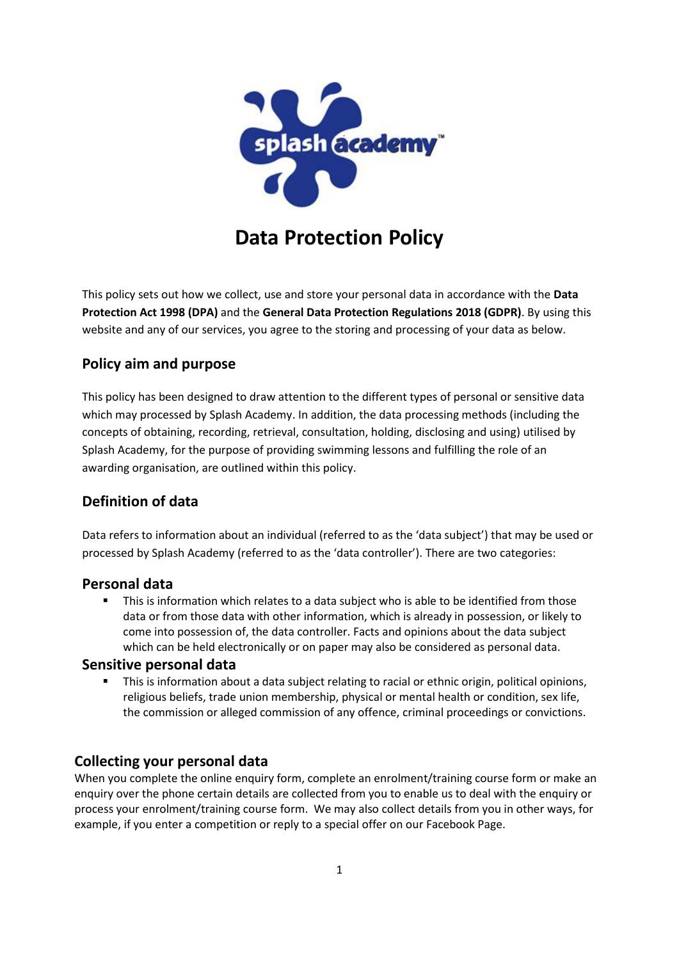

# **Data Protection Policy**

This policy sets out how we collect, use and store your personal data in accordance with the **Data Protection Act 1998 (DPA)** and the **General Data Protection Regulations 2018 (GDPR)**. By using this website and any of our services, you agree to the storing and processing of your data as below.

# **Policy aim and purpose**

This policy has been designed to draw attention to the different types of personal or sensitive data which may processed by Splash Academy. In addition, the data processing methods (including the concepts of obtaining, recording, retrieval, consultation, holding, disclosing and using) utilised by Splash Academy, for the purpose of providing swimming lessons and fulfilling the role of an awarding organisation, are outlined within this policy.

# **Definition of data**

Data refers to information about an individual (referred to as the 'data subject') that may be used or processed by Splash Academy (referred to as the 'data controller'). There are two categories:

# **Personal data**

 This is information which relates to a data subject who is able to be identified from those data or from those data with other information, which is already in possession, or likely to come into possession of, the data controller. Facts and opinions about the data subject which can be held electronically or on paper may also be considered as personal data.

## **Sensitive personal data**

 This is information about a data subject relating to racial or ethnic origin, political opinions, religious beliefs, trade union membership, physical or mental health or condition, sex life, the commission or alleged commission of any offence, criminal proceedings or convictions.

# **Collecting your personal data**

When you complete the online enquiry form, complete an enrolment/training course form or make an enquiry over the phone certain details are collected from you to enable us to deal with the enquiry or process your enrolment/training course form. We may also collect details from you in other ways, for example, if you enter a competition or reply to a special offer on our Facebook Page.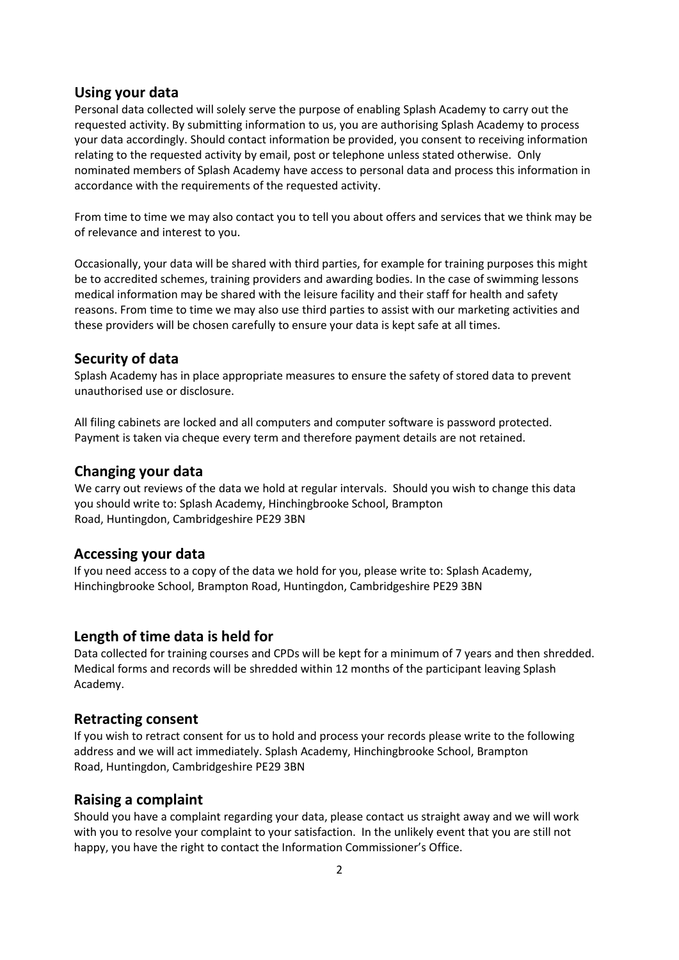## **Using your data**

Personal data collected will solely serve the purpose of enabling Splash Academy to carry out the requested activity. By submitting information to us, you are authorising Splash Academy to process your data accordingly. Should contact information be provided, you consent to receiving information relating to the requested activity by email, post or telephone unless stated otherwise. Only nominated members of Splash Academy have access to personal data and process this information in accordance with the requirements of the requested activity.

From time to time we may also contact you to tell you about offers and services that we think may be of relevance and interest to you.

Occasionally, your data will be shared with third parties, for example for training purposes this might be to accredited schemes, training providers and awarding bodies. In the case of swimming lessons medical information may be shared with the leisure facility and their staff for health and safety reasons. From time to time we may also use third parties to assist with our marketing activities and these providers will be chosen carefully to ensure your data is kept safe at all times.

## **Security of data**

Splash Academy has in place appropriate measures to ensure the safety of stored data to prevent unauthorised use or disclosure.

All filing cabinets are locked and all computers and computer software is password protected. Payment is taken via cheque every term and therefore payment details are not retained.

## **Changing your data**

We carry out reviews of the data we hold at regular intervals. Should you wish to change this data you should write to: Splash Academy, Hinchingbrooke School, Brampton Road, Huntingdon, Cambridgeshire PE29 3BN

## **Accessing your data**

If you need access to a copy of the data we hold for you, please write to: Splash Academy, Hinchingbrooke School, Brampton Road, Huntingdon, Cambridgeshire PE29 3BN

## **Length of time data is held for**

Data collected for training courses and CPDs will be kept for a minimum of 7 years and then shredded. Medical forms and records will be shredded within 12 months of the participant leaving Splash Academy.

## **Retracting consent**

If you wish to retract consent for us to hold and process your records please write to the following address and we will act immediately. Splash Academy, Hinchingbrooke School, Brampton Road, Huntingdon, Cambridgeshire PE29 3BN

## **Raising a complaint**

Should you have a complaint regarding your data, please contact us straight away and we will work with you to resolve your complaint to your satisfaction. In the unlikely event that you are still not happy, you have the right to contact the Information Commissioner's Office.